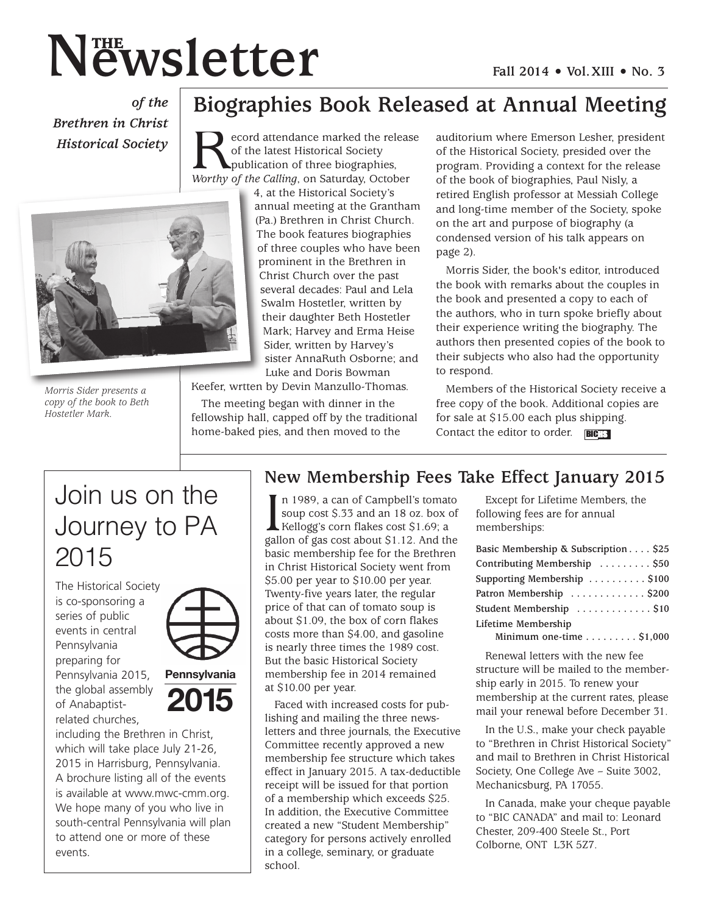# **N N EWSletter Fall** 2014 • Vol. XIII • No. 3

*of the Brethren in Christ Historical Society*



*Morris Sider presents a copy of the book to Beth Hostetler Mark.*

**Record attendance marked the release** of the latest Historical Society<br>publication of three biographies,<br>*Worthy of the Calling*, on Saturday, October publication of three biographies, 4, at the Historical Society's annual meeting at the Grantham (Pa.) Brethren in Christ Church. The book features biographies of three couples who have been prominent in the Brethren in Christ Church over the past several decades: Paul and Lela Swalm Hostetler, written by their daughter Beth Hostetler Mark; Harvey and Erma Heise Sider, written by Harvey's

of the latest Historical Society

sister AnnaRuth Osborne; and Luke and Doris Bowman Keefer, wrtten by Devin Manzullo-Thomas.

The meeting began with dinner in the

fellowship hall, capped off by the traditional home-baked pies, and then moved to the

auditorium where Emerson Lesher, president of the Historical Society, presided over the program. Providing a context for the release of the book of biographies, Paul Nisly, a retired English professor at Messiah College and long-time member of the Society, spoke on the art and purpose of biography (a condensed version of his talk appears on page 2).

Morris Sider, the book's editor, introduced the book with remarks about the couples in the book and presented a copy to each of the authors, who in turn spoke briefly about their experience writing the biography. The authors then presented copies of the book to their subjects who also had the opportunity to respond.

Members of the Historical Society receive a free copy of the book. Additional copies are for sale at \$15.00 each plus shipping. Contact the editor to order.  $\overline{BIC}$ 

# Join us on the Journey to PA 2015

The Historical Society is co-sponsoring a series of public events in central Pennsylvania preparing for Pennsylvania 2015, the global assembly of Anabaptistrelated churches,



**Pennsylvania 2015**

including the Brethren in Christ, which will take place July 21-26, 2015 in Harrisburg, Pennsylvania. A brochure listing all of the events is available at www.mwc-cmm.org. We hope many of you who live in south-central Pennsylvania will plan to attend one or more of these events.

## **New Membership Fees Take Effect January 2015**

**Biographies Book Released at Annual Meeting**

In 1989, a can of Campbell's tomato<br>soup cost \$.33 and an 18 oz. box of<br>Kellogg's corn flakes cost \$1.69; a<br>gallon of gas cost about \$1.12. And the n 1989, a can of Campbell's tomato soup cost \$.33 and an 18 oz. box of Kellogg's corn flakes cost \$1.69; a basic membership fee for the Brethren in Christ Historical Society went from \$5.00 per year to \$10.00 per year. Twenty-five years later, the regular price of that can of tomato soup is about \$1.09, the box of corn flakes costs more than \$4.00, and gasoline is nearly three times the 1989 cost. But the basic Historical Society membership fee in 2014 remained at \$10.00 per year.

Faced with increased costs for publishing and mailing the three newsletters and three journals, the Executive Committee recently approved a new membership fee structure which takes effect in January 2015. A tax-deductible receipt will be issued for that portion of a membership which exceeds \$25. In addition, the Executive Committee created a new "Student Membership" category for persons actively enrolled in a college, seminary, or graduate school.

Except for Lifetime Members, the following fees are for annual memberships:

| Basic Membership & Subscription \$25       |
|--------------------------------------------|
| Contributing Membership  \$50              |
| Supporting Membership  \$100               |
| Patron Membership  \$200                   |
| Student Membership  \$10                   |
| Lifetime Membership                        |
| Minimum one-time $\dots\dots\dots$ \$1,000 |

Renewal letters with the new fee structure will be mailed to the membership early in 2015. To renew your membership at the current rates, please mail your renewal before December 31.

In the U.S., make your check payable to "Brethren in Christ Historical Society" and mail to Brethren in Christ Historical Society, One College Ave – Suite 3002, Mechanicsburg, PA 17055.

In Canada, make your cheque payable to "BIC CANADA" and mail to: Leonard Chester, 209-400 Steele St., Port Colborne, ONT L3K 5Z7.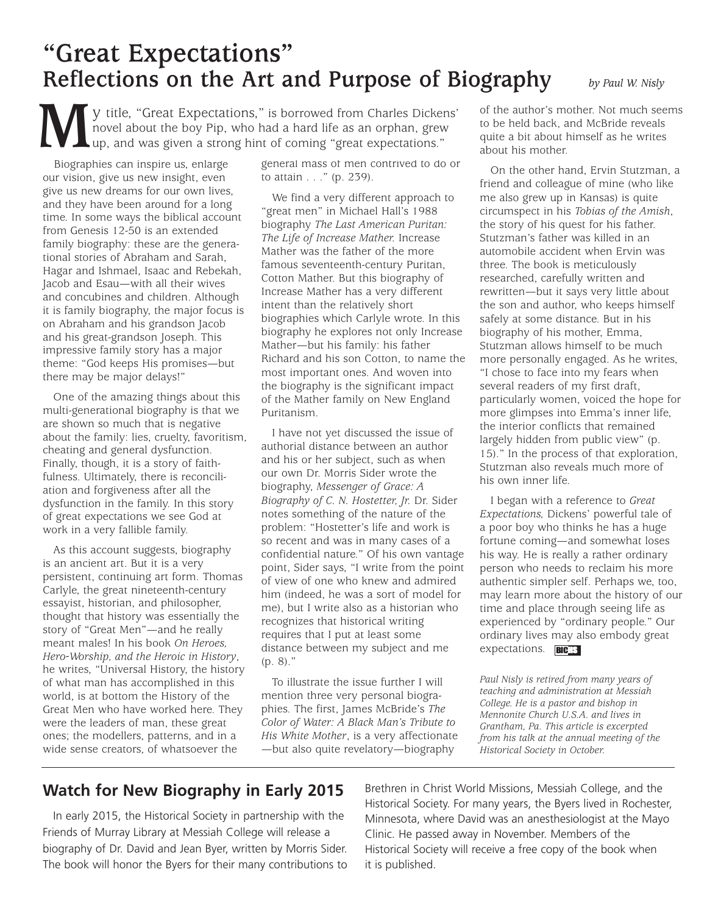# **"Great Expectations" Reflections on the Art and Purpose of Biography** *by Paul W. Nisly*

**M**y title, "Great Expectations," is borrowed from Charles Dickens' novel about the boy Pip, who had a hard life as an orphan, grew up, and was given a strong hint of coming "great expectations." novel about the boy Pip, who had a hard life as an orphan, grew up, and was given a strong hint of coming "great expectations."

Biographies can inspire us, enlarge our vision, give us new insight, even give us new dreams for our own lives, and they have been around for a long time. In some ways the biblical account from Genesis 12-50 is an extended family biography: these are the generational stories of Abraham and Sarah, Hagar and Ishmael, Isaac and Rebekah, Jacob and Esau—with all their wives and concubines and children. Although it is family biography, the major focus is on Abraham and his grandson Jacob and his great-grandson Joseph. This impressive family story has a major theme: "God keeps His promises—but there may be major delays!"

One of the amazing things about this multi-generational biography is that we are shown so much that is negative about the family: lies, cruelty, favoritism, cheating and general dysfunction. Finally, though, it is a story of faithfulness. Ultimately, there is reconciliation and forgiveness after all the dysfunction in the family. In this story of great expectations we see God at work in a very fallible family.

As this account suggests, biography is an ancient art. But it is a very persistent, continuing art form. Thomas Carlyle, the great nineteenth-century essayist, historian, and philosopher, thought that history was essentially the story of "Great Men"—and he really meant males! In his book *On Heroes, Hero-Worship, and the Heroic in History*, he writes, "Universal History, the history of what man has accomplished in this world, is at bottom the History of the Great Men who have worked here. They were the leaders of man, these great ones; the modellers, patterns, and in a wide sense creators, of whatsoever the

general mass of men contrived to do or to attain . . ." (p. 239).

We find a very different approach to "great men" in Michael Hall's 1988 biography *The Last American Puritan: The Life of Increase Mather.* Increase Mather was the father of the more famous seventeenth-century Puritan, Cotton Mather. But this biography of Increase Mather has a very different intent than the relatively short biographies which Carlyle wrote. In this biography he explores not only Increase Mather—but his family: his father Richard and his son Cotton, to name the most important ones. And woven into the biography is the significant impact of the Mather family on New England Puritanism.

I have not yet discussed the issue of authorial distance between an author and his or her subject, such as when our own Dr. Morris Sider wrote the biography, *Messenger of Grace: A Biography of C. N. Hostetter, Jr.* Dr. Sider notes something of the nature of the problem: "Hostetter's life and work is so recent and was in many cases of a confidential nature." Of his own vantage point, Sider says, "I write from the point of view of one who knew and admired him (indeed, he was a sort of model for me), but I write also as a historian who recognizes that historical writing requires that I put at least some distance between my subject and me (p. 8)."

To illustrate the issue further I will mention three very personal biographies. The first, James McBride's *The Color of Water: A Black Man's Tribute to His White Mother*, is a very affectionate —but also quite revelatory—biography

of the author's mother. Not much seems to be held back, and McBride reveals quite a bit about himself as he writes about his mother.

On the other hand, Ervin Stutzman, a friend and colleague of mine (who like me also grew up in Kansas) is quite circumspect in his *Tobias of the Amish*, the story of his quest for his father. Stutzman's father was killed in an automobile accident when Ervin was three. The book is meticulously researched, carefully written and rewritten—but it says very little about the son and author, who keeps himself safely at some distance. But in his biography of his mother, Emma, Stutzman allows himself to be much more personally engaged. As he writes, "I chose to face into my fears when several readers of my first draft, particularly women, voiced the hope for more glimpses into Emma's inner life, the interior conflicts that remained largely hidden from public view" (p. 15)." In the process of that exploration, Stutzman also reveals much more of his own inner life.

I began with a reference to *Great Expectations,* Dickens' powerful tale of a poor boy who thinks he has a huge fortune coming—and somewhat loses his way. He is really a rather ordinary person who needs to reclaim his more authentic simpler self. Perhaps we, too, may learn more about the history of our time and place through seeing life as experienced by "ordinary people." Our ordinary lives may also embody great expectations. **BICHS** 

*Paul Nisly is retired from many years of teaching and administration at Messiah College. He is a pastor and bishop in Mennonite Church U.S.A. and lives in Grantham, Pa. This article is excerpted from his talk at the annual meeting of the Historical Society in October.*

### **Watch for New Biography in Early 2015**

In early 2015, the Historical Society in partnership with the Friends of Murray Library at Messiah College will release a biography of Dr. David and Jean Byer, written by Morris Sider. The book will honor the Byers for their many contributions to Brethren in Christ World Missions, Messiah College, and the Historical Society. For many years, the Byers lived in Rochester, Minnesota, where David was an anesthesiologist at the Mayo Clinic. He passed away in November. Members of the Historical Society will receive a free copy of the book when it is published.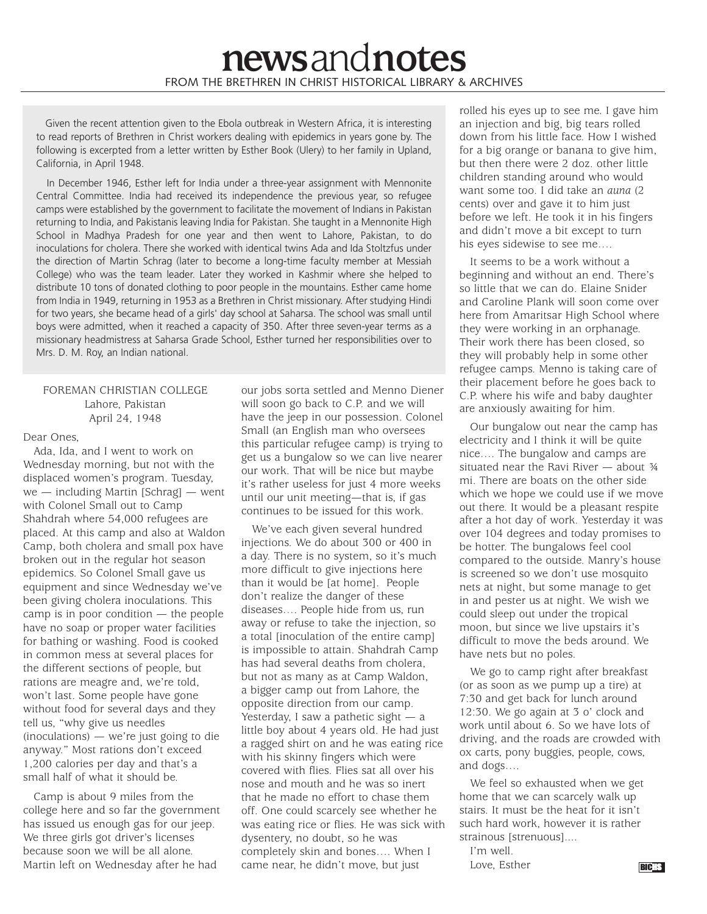Given the recent attention given to the Ebola outbreak in Western Africa, it is interesting to read reports of Brethren in Christ workers dealing with epidemics in years gone by. The following is excerpted from a letter written by Esther Book (Ulery) to her family in Upland, California, in April 1948.

In December 1946, Esther left for India under a three-year assignment with Mennonite Central Committee. India had received its independence the previous year, so refugee camps were established by the government to facilitate the movement of Indians in Pakistan returning to India, and Pakistanis leaving India for Pakistan. She taught in a Mennonite High School in Madhya Pradesh for one year and then went to Lahore, Pakistan, to do inoculations for cholera. There she worked with identical twins Ada and Ida Stoltzfus under the direction of Martin Schrag (later to become a long-time faculty member at Messiah College) who was the team leader. Later they worked in Kashmir where she helped to distribute 10 tons of donated clothing to poor people in the mountains. Esther came home from India in 1949, returning in 1953 as a Brethren in Christ missionary. After studying Hindi for two years, she became head of a girls' day school at Saharsa. The school was small until boys were admitted, when it reached a capacity of 350. After three seven-year terms as a missionary headmistress at Saharsa Grade School, Esther turned her responsibilities over to Mrs. D. M. Roy, an Indian national.

#### FOREMAN CHRISTIAN COLLEGE Lahore, Pakistan April 24, 1948

#### Dear Ones,

Ada, Ida, and I went to work on Wednesday morning, but not with the displaced women's program. Tuesday,  $we$  — including Martin [Schrag] — went with Colonel Small out to Camp Shahdrah where 54,000 refugees are placed. At this camp and also at Waldon Camp, both cholera and small pox have broken out in the regular hot season epidemics. So Colonel Small gave us equipment and since Wednesday we've been giving cholera inoculations. This camp is in poor condition — the people have no soap or proper water facilities for bathing or washing. Food is cooked in common mess at several places for the different sections of people, but rations are meagre and, we're told, won't last. Some people have gone without food for several days and they tell us, "why give us needles (inoculations) — we're just going to die anyway." Most rations don't exceed 1,200 calories per day and that's a small half of what it should be.

Camp is about 9 miles from the college here and so far the government has issued us enough gas for our jeep. We three girls got driver's licenses because soon we will be all alone. Martin left on Wednesday after he had

our jobs sorta settled and Menno Diener will soon go back to C.P. and we will have the jeep in our possession. Colonel Small (an English man who oversees this particular refugee camp) is trying to get us a bungalow so we can live nearer our work. That will be nice but maybe it's rather useless for just 4 more weeks until our unit meeting—that is, if gas continues to be issued for this work.

We've each given several hundred injections. We do about 300 or 400 in a day. There is no system, so it's much more difficult to give injections here than it would be [at home]. People don't realize the danger of these diseases…. People hide from us, run away or refuse to take the injection, so a total [inoculation of the entire camp] is impossible to attain. Shahdrah Camp has had several deaths from cholera, but not as many as at Camp Waldon, a bigger camp out from Lahore, the opposite direction from our camp. Yesterday, I saw a pathetic sight  $-$  a little boy about 4 years old. He had just a ragged shirt on and he was eating rice with his skinny fingers which were covered with flies. Flies sat all over his nose and mouth and he was so inert that he made no effort to chase them off. One could scarcely see whether he was eating rice or flies. He was sick with dysentery, no doubt, so he was completely skin and bones…. When I came near, he didn't move, but just

rolled his eyes up to see me. I gave him an injection and big, big tears rolled down from his little face. How I wished for a big orange or banana to give him, but then there were 2 doz. other little children standing around who would want some too. I did take an *auna* (2 cents) over and gave it to him just before we left. He took it in his fingers and didn't move a bit except to turn his eyes sidewise to see me….

It seems to be a work without a beginning and without an end. There's so little that we can do. Elaine Snider and Caroline Plank will soon come over here from Amaritsar High School where they were working in an orphanage. Their work there has been closed, so they will probably help in some other refugee camps. Menno is taking care of their placement before he goes back to C.P. where his wife and baby daughter are anxiously awaiting for him.

Our bungalow out near the camp has electricity and I think it will be quite nice…. The bungalow and camps are situated near the Ravi River  $-$  about  $\frac{3}{4}$ mi. There are boats on the other side which we hope we could use if we move out there. It would be a pleasant respite after a hot day of work. Yesterday it was over 104 degrees and today promises to be hotter. The bungalows feel cool compared to the outside. Manry's house is screened so we don't use mosquito nets at night, but some manage to get in and pester us at night. We wish we could sleep out under the tropical moon, but since we live upstairs it's difficult to move the beds around. We have nets but no poles.

We go to camp right after breakfast (or as soon as we pump up a tire) at 7:30 and get back for lunch around 12:30. We go again at 3 o' clock and work until about 6. So we have lots of driving, and the roads are crowded with ox carts, pony buggies, people, cows, and dogs….

We feel so exhausted when we get home that we can scarcely walk up stairs. It must be the heat for it isn't such hard work, however it is rather strainous [strenuous]....

I'm well. Love, Esther BICHS